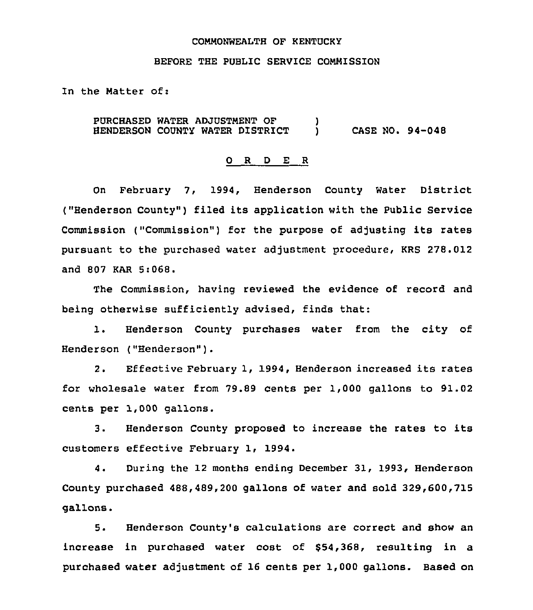### COMMONWEALTH OF KENTUCKY

#### BEFORE THE PUBLIC SERVICE COMMISSION

In the Matter of:

PURCHASED WATER ADJUSTMENT OF  $\qquad \qquad$  )  $\qquad \qquad$  CASE NO. 94-048 HENDERSON COUNTY WATER DISTRICT

#### 0 R <sup>D</sup> E <sup>R</sup>

On February 7, 1994, Henderson County Water District ("Henderson County") filed its application with the Public Service Commission ("Commission") for the purpose of adjusting its rates pursuant to the purchased water adjustment procedure, KRS 278.012 and 807 KAR 5:068.

The Commission, having reviewed the evidence of record and being otherwise sufficiently advised, finds that:

1. Henderson County purchases water from the city of Henderson ("Henderson" ).

2. Effective February 1, 1994, Henderson increased its rates for wholesale water from 79.89 cents per 1,000 gallons to 91.02 cents per 1,000 gallons.

3. Henderson County proposed to increase the rates to its customers effective February 1, 1994.

4. During the 12 months ending December 31, 1993, Henderson County purchased 488,489,200 gallons of water and sold 329,600,715 gallons.

5. Henderson County's calculations are correct and show an increase in purchased water cost of \$54,368, resulting in a purchased water adjustment of 16 cents per 1,000 gallons. Based on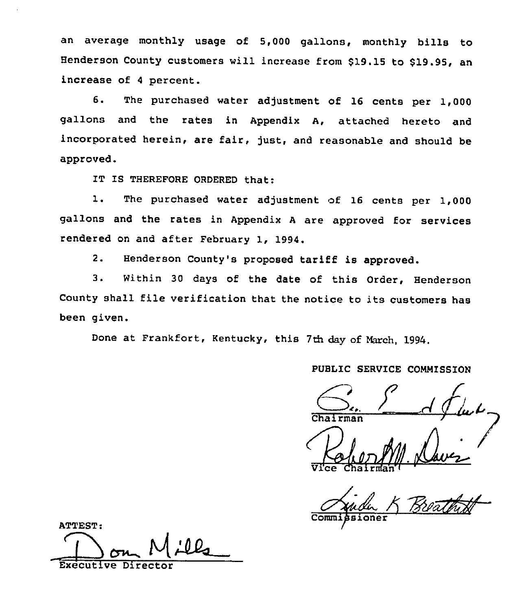an average monthly usage of 5,000 gallons, monthly bills to Henderson County customers will increase from \$19.15 to \$19.95, an increase of <sup>4</sup> percent.

6. The purchased water adjustment of 16 cents per 1,000 gallons and the rates in Appendix A, attached hereto and incorporated herein, are fair, just, and reasonable and should be approved.

IT IS THEREFORE ORDERED that:

1. The purchased water adjustment of <sup>16</sup> cents per 1,000 gallons and the rates in Appendix <sup>A</sup> are approved for services rendered on and after February 1, 1994.

2. Henderson County's proposed tariff is approved.

3. Within <sup>30</sup> days of the date of this Order, Henderson County shall file verification that the notice to its customers has been given.

Done at Frankfort, Kentucky, this 7th day of March, 1994.

## PUBLIC SERVICE CONNISSION

C'.. )

Wellen 11. Davez

Comm<sub>i</sub>

ATTEST: Executive Director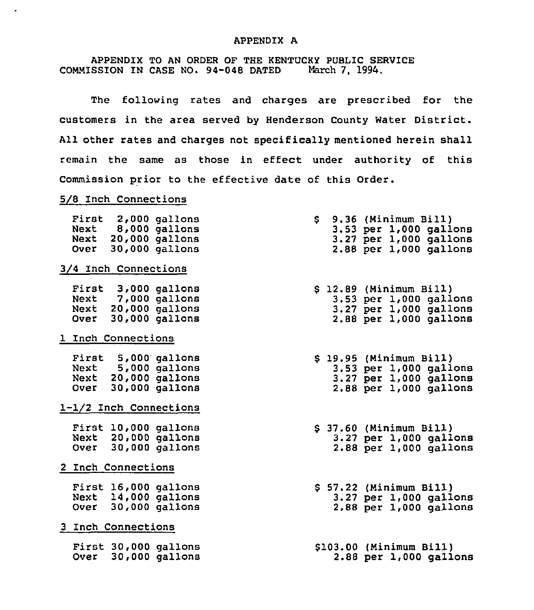## APPENDIX A

APPENDIX TO AN ORDER OF THE KENTUCKY PUBLIC SERVICE<br>SSION IN CASE NO. 94-048 DATED March 7, 1994. COMMISSION IN CASE NO. 94-048 DATED

The following rates and charges are prescribed for the customers in the area served by Henderson County Water District. All other rates and charges not specifically mentioned herein shall remain the same as those in effect under authority of this Commission prior to the effective date of this Order.

## 5/8 Inch Connections

 $\ddot{\phantom{a}}$ 

|                        |  |                           | First 2,000 gallons<br>Next 8,000 gallons<br>Next 20,000 gallons<br>Over 30,000 gallons |  |  |  | $$9.36$ (Minimum Bill)  | $3.53$ per $1,000$ gallons<br>$3.27$ per $1,000$ gallons<br>$2.88$ per $1,000$ gallons |  |
|------------------------|--|---------------------------|-----------------------------------------------------------------------------------------|--|--|--|-------------------------|----------------------------------------------------------------------------------------|--|
| 3/4 Inch Connections   |  |                           |                                                                                         |  |  |  |                         |                                                                                        |  |
|                        |  |                           | First 3,000 gallons<br>Next 7,000 gallons<br>Next 20,000 gallons<br>Over 30,000 gallons |  |  |  | \$ 12.89 (Minimum Bill) | $3.53$ per $1,000$ gallons<br>$3.27$ per $1,000$ gallons<br>$2.88$ per $1,000$ gallons |  |
|                        |  | <b>1 Inch Connections</b> |                                                                                         |  |  |  |                         |                                                                                        |  |
|                        |  |                           | First 5,000 gallons<br>Next 5,000 gallons<br>Next 20,000 gallons<br>Over 30,000 gallons |  |  |  | \$ 19.95 (Minimum Bill) | $3.53$ per $1,000$ gallons<br>$3.27$ per $1,000$ gallons<br>$2.88$ per $1,000$ gallons |  |
| 1-1/2 Inch Connections |  |                           |                                                                                         |  |  |  |                         |                                                                                        |  |
|                        |  |                           | First 10,000 gallons<br>Next 20,000 gallons<br>Over 30,000 gallons                      |  |  |  | \$ 37.60 (Minimum Bill) | $3.27$ per 1,000 gallons<br>2.88 per 1,000 gallons                                     |  |
|                        |  | 2 Inch Connections        |                                                                                         |  |  |  |                         |                                                                                        |  |
|                        |  |                           | First 16,000 gallons<br>Next 14,000 gallons<br>Over 30,000 gallons                      |  |  |  | \$ 57.22 (Minimum Bill) | $3.27$ per $1,000$ gallons<br>$2.88$ per $1,000$ gallons                               |  |
|                        |  | 3 Inch Connections        |                                                                                         |  |  |  |                         |                                                                                        |  |
|                        |  |                           | First 30,000 gallons<br>Over 30,000 gallons                                             |  |  |  | \$103.00 (Minimum Bill) | 2.88 per 1,000 gallons                                                                 |  |